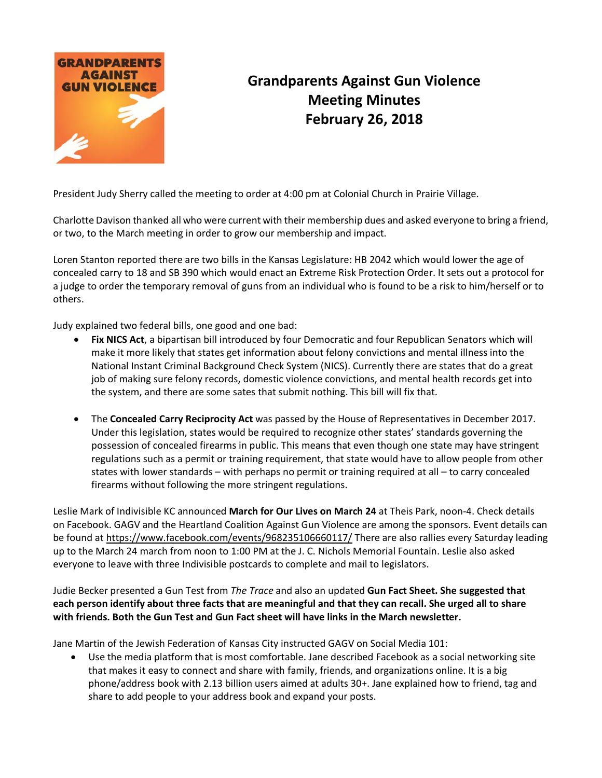

## **Grandparents Against Gun Violence Meeting Minutes February 26, 2018**

President Judy Sherry called the meeting to order at 4:00 pm at Colonial Church in Prairie Village.

Charlotte Davison thanked all who were current with their membership dues and asked everyone to bring a friend, or two, to the March meeting in order to grow our membership and impact.

Loren Stanton reported there are two bills in the Kansas Legislature: HB 2042 which would lower the age of concealed carry to 18 and SB 390 which would enact an Extreme Risk Protection Order. It sets out a protocol for a judge to order the temporary removal of guns from an individual who is found to be a risk to him/herself or to others.

Judy explained two federal bills, one good and one bad:

- **Fix NICS Act**, a bipartisan bill introduced by four Democratic and four Republican Senators which will make it more likely that states get information about felony convictions and mental illness into the National Instant Criminal Background Check System (NICS). Currently there are states that do a great job of making sure felony records, domestic violence convictions, and mental health records get into the system, and there are some sates that submit nothing. This bill will fix that.
- The **Concealed Carry Reciprocity Act** was passed by the House of Representatives in December 2017. Under this legislation, states would be required to recognize other states' standards governing the possession of concealed firearms in public. This means that even though one state may have stringent regulations such as a permit or training requirement, that state would have to allow people from other states with lower standards – with perhaps no permit or training required at all – to carry concealed firearms without following the more stringent regulations.

Leslie Mark of Indivisible KC announced **March for Our Lives on March 24** at Theis Park, noon-4. Check details on Facebook. GAGV and the Heartland Coalition Against Gun Violence are among the sponsors. Event details can be found at<https://www.facebook.com/events/968235106660117/> There are also rallies every Saturday leading up to the March 24 march from noon to 1:00 PM at the J. C. Nichols Memorial Fountain. Leslie also asked everyone to leave with three Indivisible postcards to complete and mail to legislators.

## Judie Becker presented a Gun Test from *The Trace* and also an updated **Gun Fact Sheet. She suggested that each person identify about three facts that are meaningful and that they can recall. She urged all to share with friends. Both the Gun Test and Gun Fact sheet will have links in the March newsletter.**

Jane Martin of the Jewish Federation of Kansas City instructed GAGV on Social Media 101:

• Use the media platform that is most comfortable. Jane described Facebook as a social networking site that makes it easy to connect and share with family, friends, and organizations online. It is a big phone/address book with 2.13 billion users aimed at adults 30+. Jane explained how to friend, tag and share to add people to your address book and expand your posts.